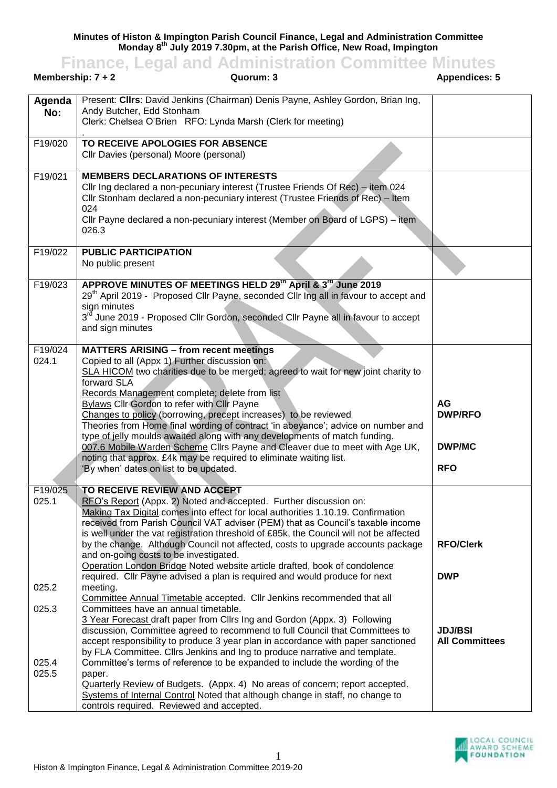**Minutes of Histon & Impington Parish Council Finance, Legal and Administration Committee Monday 8th July 2019 7.30pm, at the Parish Office, New Road, Impington**

|                         | <b>Finance, Legal and Administration Committee Minutes</b>                                                                                                                                                                                                                                                                                                                                                                                                                                                                                                                                                                                                                                                                                    |                                                            |
|-------------------------|-----------------------------------------------------------------------------------------------------------------------------------------------------------------------------------------------------------------------------------------------------------------------------------------------------------------------------------------------------------------------------------------------------------------------------------------------------------------------------------------------------------------------------------------------------------------------------------------------------------------------------------------------------------------------------------------------------------------------------------------------|------------------------------------------------------------|
| Membership: $7 + 2$     | <b>Appendices: 5</b>                                                                                                                                                                                                                                                                                                                                                                                                                                                                                                                                                                                                                                                                                                                          |                                                            |
| Agenda<br>No:           | Present: Clirs: David Jenkins (Chairman) Denis Payne, Ashley Gordon, Brian Ing,<br>Andy Butcher, Edd Stonham<br>Clerk: Chelsea O'Brien RFO: Lynda Marsh (Clerk for meeting)                                                                                                                                                                                                                                                                                                                                                                                                                                                                                                                                                                   |                                                            |
| F19/020                 | TO RECEIVE APOLOGIES FOR ABSENCE<br>Cllr Davies (personal) Moore (personal)                                                                                                                                                                                                                                                                                                                                                                                                                                                                                                                                                                                                                                                                   |                                                            |
| F19/021                 | <b>MEMBERS DECLARATIONS OF INTERESTS</b><br>Cllr Ing declared a non-pecuniary interest (Trustee Friends Of Rec) – item 024<br>Cllr Stonham declared a non-pecuniary interest (Trustee Friends of Rec) - Item<br>024<br>Cllr Payne declared a non-pecuniary interest (Member on Board of LGPS) – item<br>026.3                                                                                                                                                                                                                                                                                                                                                                                                                                 |                                                            |
| F19/022                 | <b>PUBLIC PARTICIPATION</b><br>No public present                                                                                                                                                                                                                                                                                                                                                                                                                                                                                                                                                                                                                                                                                              |                                                            |
| F19/023                 | APPROVE MINUTES OF MEETINGS HELD 29th April & 3 <sup>rd</sup> June 2019<br>29 <sup>th</sup> April 2019 - Proposed Cllr Payne, seconded Cllr Ing all in favour to accept and<br>sign minutes<br>3 <sup>rd</sup> June 2019 - Proposed Cllr Gordon, seconded Cllr Payne all in favour to accept<br>and sign minutes                                                                                                                                                                                                                                                                                                                                                                                                                              |                                                            |
| F19/024<br>024.1        | <b>MATTERS ARISING - from recent meetings</b><br>Copied to all (Appx 1) Further discussion on:<br>SLA HICOM two charities due to be merged; agreed to wait for new joint charity to<br>forward SLA<br>Records Management complete; delete from list<br><b>Bylaws Cllr Gordon to refer with Cllr Payne</b><br>Changes to policy (borrowing, precept increases) to be reviewed<br>Theories from Home final wording of contract 'in abeyance'; advice on number and<br>type of jelly moulds awaited along with any developments of match funding.<br>007.6 Mobile Warden Scheme Cllrs Payne and Cleaver due to meet with Age UK,<br>noting that approx. £4k may be required to eliminate waiting list.<br>'By when' dates on list to be updated. | <b>AG</b><br><b>DWP/RFO</b><br><b>DWP/MC</b><br><b>RFO</b> |
| F19/025<br>025.1        | TO RECEIVE REVIEW AND ACCEPT<br>RFO's Report (Appx. 2) Noted and accepted. Further discussion on:<br>Making Tax Digital comes into effect for local authorities 1.10.19. Confirmation<br>received from Parish Council VAT adviser (PEM) that as Council's taxable income<br>is well under the vat registration threshold of £85k, the Council will not be affected<br>by the change. Although Council not affected, costs to upgrade accounts package<br>and on-going costs to be investigated.<br>Operation London Bridge Noted website article drafted, book of condolence<br>required. Cllr Payne advised a plan is required and would produce for next                                                                                    | <b>RFO/Clerk</b><br><b>DWP</b>                             |
| 025.2                   | meeting.<br>Committee Annual Timetable accepted. Cllr Jenkins recommended that all                                                                                                                                                                                                                                                                                                                                                                                                                                                                                                                                                                                                                                                            |                                                            |
| 025.3<br>025.4<br>025.5 | Committees have an annual timetable.<br>3 Year Forecast draft paper from Cllrs Ing and Gordon (Appx. 3) Following<br>discussion, Committee agreed to recommend to full Council that Committees to<br>accept responsibility to produce 3 year plan in accordance with paper sanctioned<br>by FLA Committee. Cllrs Jenkins and Ing to produce narrative and template.<br>Committee's terms of reference to be expanded to include the wording of the<br>paper.                                                                                                                                                                                                                                                                                  | <b>JDJ/BSI</b><br><b>All Committees</b>                    |
|                         | Quarterly Review of Budgets. (Appx. 4) No areas of concern; report accepted.<br>Systems of Internal Control Noted that although change in staff, no change to<br>controls required. Reviewed and accepted.                                                                                                                                                                                                                                                                                                                                                                                                                                                                                                                                    |                                                            |